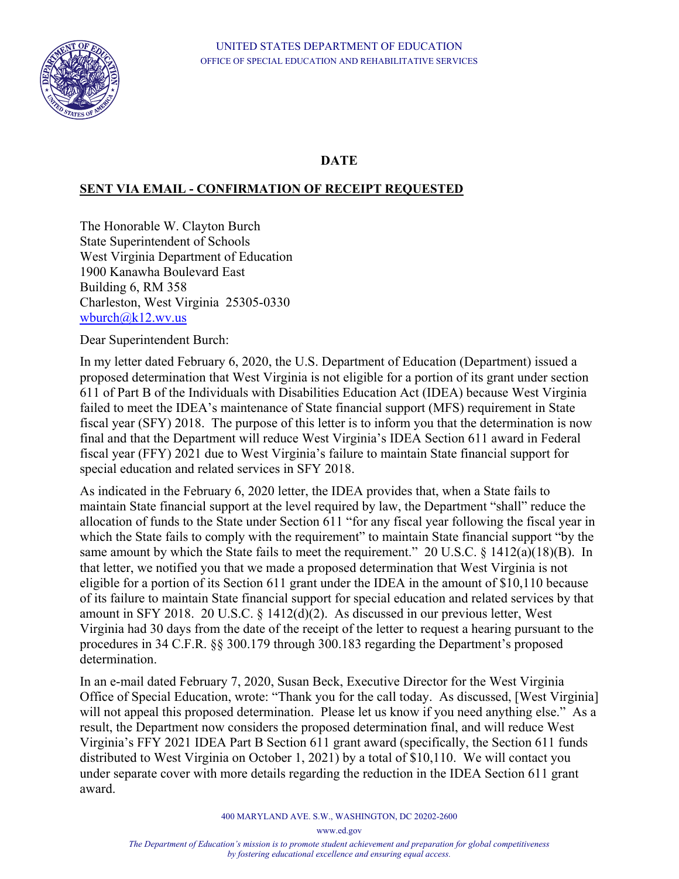

## **DATE**

## **SENT VIA EMAIL - CONFIRMATION OF RECEIPT REQUESTED**

The Honorable W. Clayton Burch State Superintendent of Schools West Virginia Department of Education 1900 Kanawha Boulevard East Building 6, RM 358 Charleston, West Virginia 25305-0330 wburch@k12.wv.us

Dear Superintendent Burch:

In my letter dated February 6, 2020, the U.S. Department of Education (Department) issued a proposed determination that West Virginia is not eligible for a portion of its grant under section 611 of Part B of the Individuals with Disabilities Education Act (IDEA) because West Virginia failed to meet the IDEA's maintenance of State financial support (MFS) requirement in State fiscal year (SFY) 2018. The purpose of this letter is to inform you that the determination is now final and that the Department will reduce West Virginia's IDEA Section 611 award in Federal fiscal year (FFY) 2021 due to West Virginia's failure to maintain State financial support for special education and related services in SFY 2018.

As indicated in the February 6, 2020 letter, the IDEA provides that, when a State fails to maintain State financial support at the level required by law, the Department "shall" reduce the allocation of funds to the State under Section 611 "for any fiscal year following the fiscal year in which the State fails to comply with the requirement" to maintain State financial support "by the same amount by which the State fails to meet the requirement." 20 U.S.C. § 1412(a)(18)(B). In that letter, we notified you that we made a proposed determination that West Virginia is not eligible for a portion of its Section 611 grant under the IDEA in the amount of \$10,110 because of its failure to maintain State financial support for special education and related services by that amount in SFY 2018. 20 U.S.C. § 1412(d)(2). As discussed in our previous letter, West Virginia had 30 days from the date of the receipt of the letter to request a hearing pursuant to the procedures in 34 C.F.R. §§ 300.179 through 300.183 regarding the Department's proposed determination.

In an e-mail dated February 7, 2020, Susan Beck, Executive Director for the West Virginia Office of Special Education, wrote: "Thank you for the call today. As discussed, [West Virginia] will not appeal this proposed determination. Please let us know if you need anything else." As a result, the Department now considers the proposed determination final, and will reduce West Virginia's FFY 2021 IDEA Part B Section 611 grant award (specifically, the Section 611 funds distributed to West Virginia on October 1, 2021) by a total of \$10,110. We will contact you under separate cover with more details regarding the reduction in the IDEA Section 611 grant award.